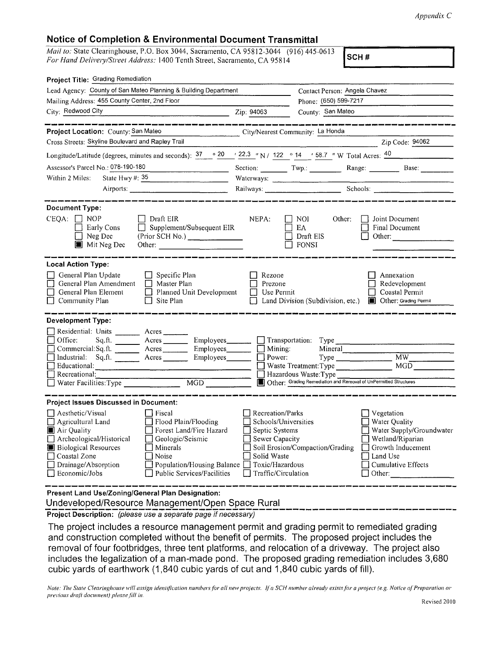## **Notice of Completion** & **Environmental Document Transmittal**

*Mail to:* State Clearinghouse, P.O. Box 3044, Sacramento, CA 95812-3044 (916) 445-0613 *For Hand Delivery/Street Address:* 1400 Tenth Street, Sacramento, CA 95814 **SCH#** 

| Contact Person: Angela Chavez                                                                                                                                                                                                                                                                                       |                                                                 |                                                                                                                                                                                                                                                                                                                                                                                                                                                                                                                                                                                                                                                                                                                                                                                                                                                          |
|---------------------------------------------------------------------------------------------------------------------------------------------------------------------------------------------------------------------------------------------------------------------------------------------------------------------|-----------------------------------------------------------------|----------------------------------------------------------------------------------------------------------------------------------------------------------------------------------------------------------------------------------------------------------------------------------------------------------------------------------------------------------------------------------------------------------------------------------------------------------------------------------------------------------------------------------------------------------------------------------------------------------------------------------------------------------------------------------------------------------------------------------------------------------------------------------------------------------------------------------------------------------|
|                                                                                                                                                                                                                                                                                                                     | Phone: (650) 599-7217                                           |                                                                                                                                                                                                                                                                                                                                                                                                                                                                                                                                                                                                                                                                                                                                                                                                                                                          |
| $\frac{1}{2}$ $\frac{1}{2}$ $\frac{1}{2}$ $\frac{1}{2}$ $\frac{1}{2}$ $\frac{1}{2}$ $\frac{1}{2}$ $\frac{1}{2}$ $\frac{1}{2}$ $\frac{1}{2}$ $\frac{1}{2}$ $\frac{1}{2}$ $\frac{1}{2}$ $\frac{1}{2}$ $\frac{1}{2}$ $\frac{1}{2}$ $\frac{1}{2}$ $\frac{1}{2}$ $\frac{1}{2}$ $\frac{1}{2}$ $\frac{1}{2}$ $\frac{1}{2}$ | County: San Mateo                                               |                                                                                                                                                                                                                                                                                                                                                                                                                                                                                                                                                                                                                                                                                                                                                                                                                                                          |
|                                                                                                                                                                                                                                                                                                                     |                                                                 | Zip Code: 94062                                                                                                                                                                                                                                                                                                                                                                                                                                                                                                                                                                                                                                                                                                                                                                                                                                          |
|                                                                                                                                                                                                                                                                                                                     |                                                                 |                                                                                                                                                                                                                                                                                                                                                                                                                                                                                                                                                                                                                                                                                                                                                                                                                                                          |
|                                                                                                                                                                                                                                                                                                                     |                                                                 |                                                                                                                                                                                                                                                                                                                                                                                                                                                                                                                                                                                                                                                                                                                                                                                                                                                          |
|                                                                                                                                                                                                                                                                                                                     |                                                                 |                                                                                                                                                                                                                                                                                                                                                                                                                                                                                                                                                                                                                                                                                                                                                                                                                                                          |
|                                                                                                                                                                                                                                                                                                                     |                                                                 |                                                                                                                                                                                                                                                                                                                                                                                                                                                                                                                                                                                                                                                                                                                                                                                                                                                          |
|                                                                                                                                                                                                                                                                                                                     |                                                                 |                                                                                                                                                                                                                                                                                                                                                                                                                                                                                                                                                                                                                                                                                                                                                                                                                                                          |
| NEPA:<br>$\Box$ Supplement/Subsequent EIR<br>(Prior SCH No.)<br>Other:                                                                                                                                                                                                                                              | Other:<br>EA<br>Draft EIS                                       | Joint Document<br>Final Document<br>Other:                                                                                                                                                                                                                                                                                                                                                                                                                                                                                                                                                                                                                                                                                                                                                                                                               |
|                                                                                                                                                                                                                                                                                                                     |                                                                 |                                                                                                                                                                                                                                                                                                                                                                                                                                                                                                                                                                                                                                                                                                                                                                                                                                                          |
| Rezone<br>Prezone<br>Planned Unit Development<br>m.                                                                                                                                                                                                                                                                 |                                                                 | Annexation<br>Redevelopment<br>Coastal Permit<br><b>I</b> Other: Grading Permit                                                                                                                                                                                                                                                                                                                                                                                                                                                                                                                                                                                                                                                                                                                                                                          |
|                                                                                                                                                                                                                                                                                                                     |                                                                 |                                                                                                                                                                                                                                                                                                                                                                                                                                                                                                                                                                                                                                                                                                                                                                                                                                                          |
| Industrial: Sq.ft. _______ Acres _______ Employees _______<br>Water Facilities: Type                                                                                                                                                                                                                                | Mineral                                                         | MW.<br>MGD                                                                                                                                                                                                                                                                                                                                                                                                                                                                                                                                                                                                                                                                                                                                                                                                                                               |
|                                                                                                                                                                                                                                                                                                                     |                                                                 |                                                                                                                                                                                                                                                                                                                                                                                                                                                                                                                                                                                                                                                                                                                                                                                                                                                          |
| $\Box$ Public Services/Facilities                                                                                                                                                                                                                                                                                   |                                                                 | Vegetation<br>□ Water Quality<br>Water Supply/Groundwater<br>Wetland/Riparian<br>$\Box$ Growth Inducement<br>Land Use<br>Cumulative Effects<br>$\Box$ Other:                                                                                                                                                                                                                                                                                                                                                                                                                                                                                                                                                                                                                                                                                             |
|                                                                                                                                                                                                                                                                                                                     | Lead Agency: County of San Mateo Planning & Building Department | City/Nearest Community: La Honda<br>Longitude/Latitude (degrees, minutes and seconds): $37 \cdot 920 \cdot 22.3 \cdot 7$ N / 122 $\cdot 14 \cdot 58.7 \cdot 7$ W Total Acres: $40$<br>Section: Twp.: Range: Base:<br>Waterways:<br>  NOI<br>$\Box$ fonsi<br>Use Permit<br>$\Box$ Land Division (Subdivision, etc.)<br>Sq.ft. _______ Acres ________ Employees ________ __ Transportation: Type<br>Commercial: Sq. ft. _________ Acres __________ Employees ________ __ Mining:<br>$\Box$ Power:<br>Waste Treatment: Type<br>Hazardous Waste: Type<br>Other: Grading Remediation and Removal of UnPermitted Structures<br>Recreation/Parks<br>Schools/Universities<br>$\Box$ Septic Systems<br>Sewer Capacity<br>Soil Erosion/Compaction/Grading<br>Solid Waste<br>$\Box$ Population/Housing Balance $\Box$ Toxic/Hazardous<br>$\Box$ Traffic/Circulation |

**Present Land Use/Zoning/General Plan Designation:** 

Undeveloped/Resource Management/Open Space Rural

**Project Description:** (please use a separate page if necessary)

The project includes a resource management permit and grading permit to remediated grading and construction completed without the benefit of permits. The proposed project includes the removal of four footbridges, three tent platforms, and relocation of a driveway. The project also includes the legalization of a man-made pond. The proposed grading remediation includes 3,680 cubic yards of earthwork (1,840 cubic yards of cut and 1,840 cubic yards of fill).

*Note: The State Clearinghouse will assign identification numhers for all new projects. If a SCH number already exists for a project (e.g. Notice of Preparation or previous draft document) please fill in.*